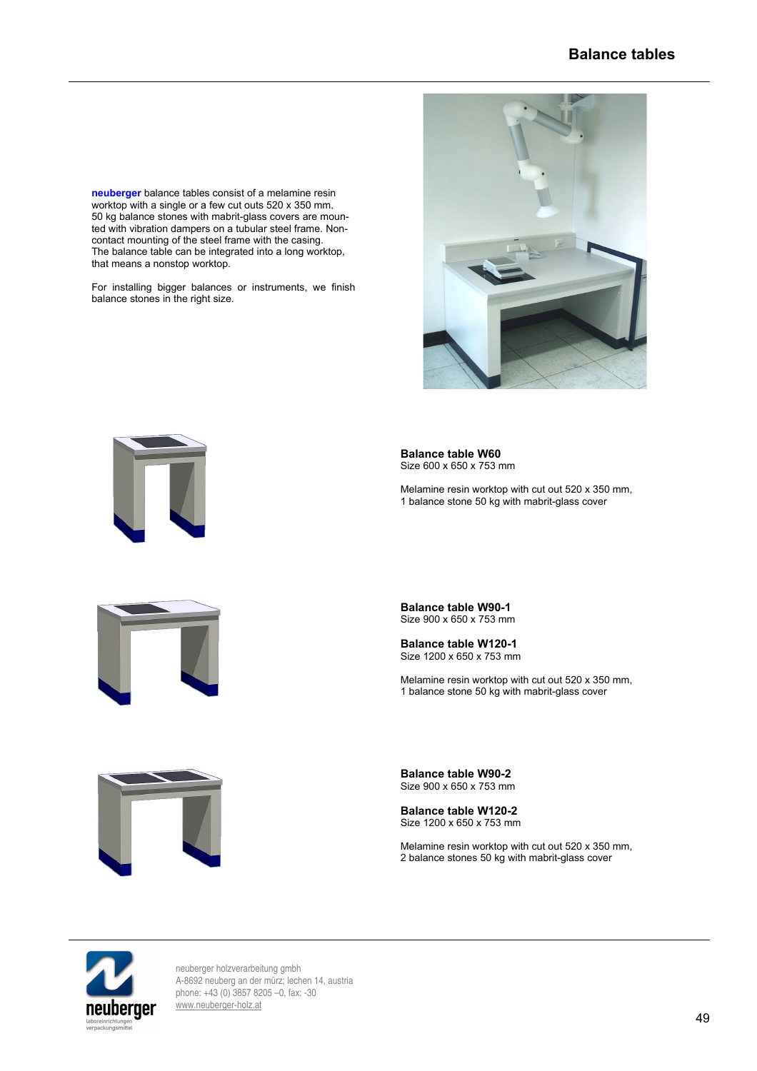**neuberger** balance tables consist of a melamine resin worktop with a single or a few cut outs 520 x 350 mm. 50 kg balance stones with mabrit-glass covers are mounted with vibration dampers on a tubular steel frame. Noncontact mounting of the steel frame with the casing. The balance table can be integrated into a long worktop, that means a nonstop worktop.

For installing bigger balances or instruments, we finish balance stones in the right size.



**Balance table W60** Size 600 x 650 x 753 mm

Melamine resin worktop with cut out 520 x 350 mm, 1 balance stone 50 kg with mabrit-glass cover



**Balance table W90-1** Size 900 x 650 x 753 mm

**Balance table W120-1** Size 1200 x 650 x 753 mm

Melamine resin worktop with cut out 520 x 350 mm, 1 balance stone 50 kg with mabrit-glass cover



**Balance table W90-2** Size 900 x 650 x 753 mm

**Balance table W120-2** Size 1200 x 650 x 753 mm

Melamine resin worktop with cut out 520 x 350 mm, 2 balance stones 50 kg with mabrit-glass cover



neuberger holzverarbeitung gmbh A-8692 neuberg an der mürz; lechen 14, austria phone: +43 (0) 3857 8205 –0, fax: -30 [www.neuberger-holz.at](http://www.neuberger-holz.at/)